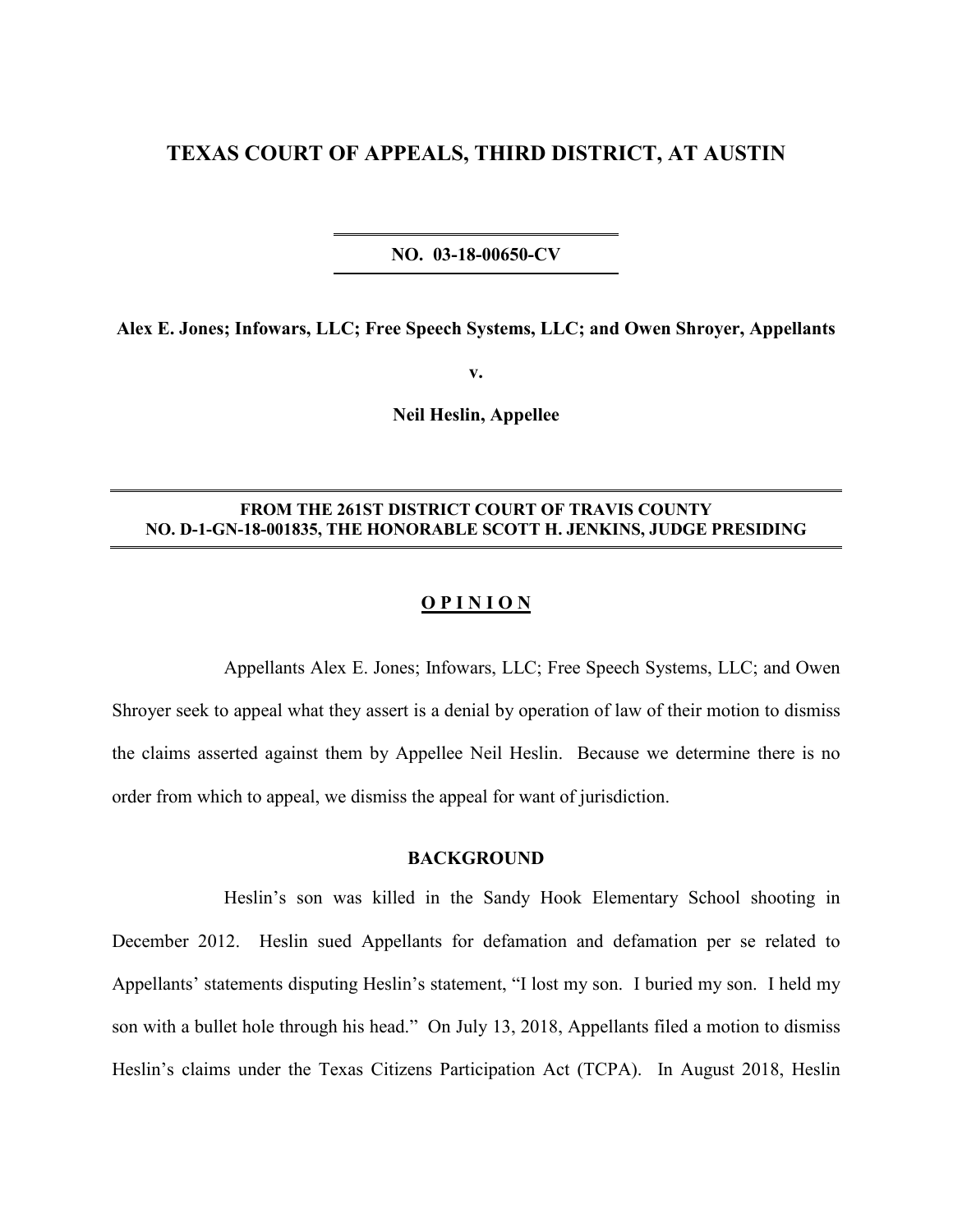# **TEXAS COURT OF APPEALS, THIRD DISTRICT, AT AUSTIN**

**NO. 03-18-00650-CV**

**Alex E. Jones; Infowars, LLC; Free Speech Systems, LLC; and Owen Shroyer, Appellants**

**v.**

**Neil Heslin, Appellee**

## **FROM THE 261ST DISTRICT COURT OF TRAVIS COUNTY NO. D-1-GN-18-001835, THE HONORABLE SCOTT H. JENKINS, JUDGE PRESIDING**

#### **O P I N I O N**

Appellants Alex E. Jones; Infowars, LLC; Free Speech Systems, LLC; and Owen Shroyer seek to appeal what they assert is a denial by operation of law of their motion to dismiss the claims asserted against them by Appellee Neil Heslin. Because we determine there is no order from which to appeal, we dismiss the appeal for want of jurisdiction.

## **BACKGROUND**

Heslin's son was killed in the Sandy Hook Elementary School shooting in December 2012. Heslin sued Appellants for defamation and defamation per se related to Appellants' statements disputing Heslin's statement, "I lost my son. I buried my son. I held my son with a bullet hole through his head." On July 13, 2018, Appellants filed a motion to dismiss Heslin's claims under the Texas Citizens Participation Act (TCPA). In August 2018, Heslin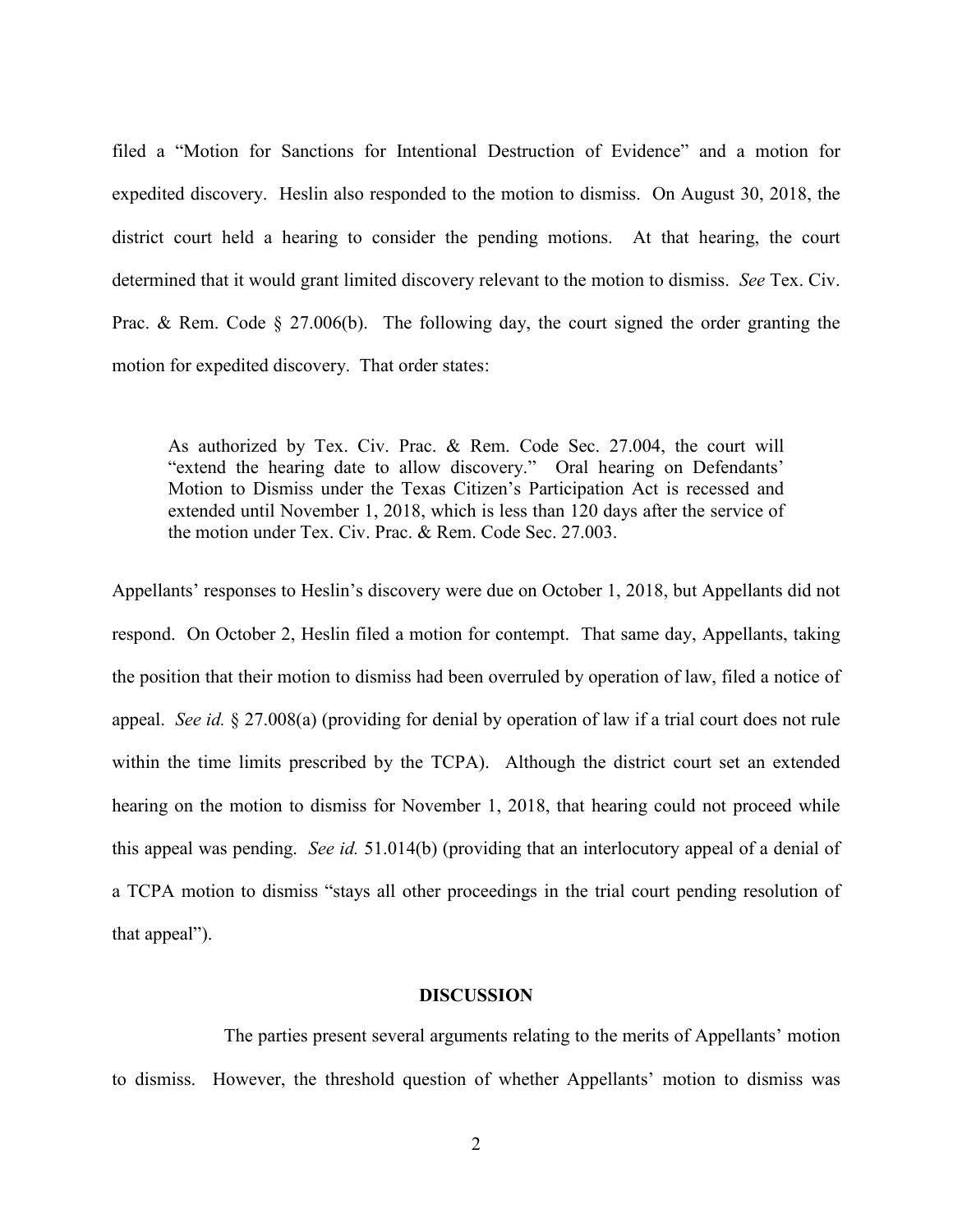filed a "Motion for Sanctions for Intentional Destruction of Evidence" and a motion for expedited discovery. Heslin also responded to the motion to dismiss. On August 30, 2018, the district court held a hearing to consider the pending motions. At that hearing, the court determined that it would grant limited discovery relevant to the motion to dismiss. *See* Tex. Civ. Prac. & Rem. Code § 27.006(b). The following day, the court signed the order granting the motion for expedited discovery. That order states:

As authorized by Tex. Civ. Prac. & Rem. Code Sec. 27.004, the court will "extend the hearing date to allow discovery." Oral hearing on Defendants' Motion to Dismiss under the Texas Citizen's Participation Act is recessed and extended until November 1, 2018, which is less than 120 days after the service of the motion under Tex. Civ. Prac. & Rem. Code Sec. 27.003.

Appellants' responses to Heslin's discovery were due on October 1, 2018, but Appellants did not respond. On October 2, Heslin filed a motion for contempt. That same day, Appellants, taking the position that their motion to dismiss had been overruled by operation of law, filed a notice of appeal. *See id.* § 27.008(a) (providing for denial by operation of law if a trial court does not rule within the time limits prescribed by the TCPA). Although the district court set an extended hearing on the motion to dismiss for November 1, 2018, that hearing could not proceed while this appeal was pending. *See id.* 51.014(b) (providing that an interlocutory appeal of a denial of a TCPA motion to dismiss "stays all other proceedings in the trial court pending resolution of that appeal").

# **DISCUSSION**

The parties present several arguments relating to the merits of Appellants' motion to dismiss. However, the threshold question of whether Appellants' motion to dismiss was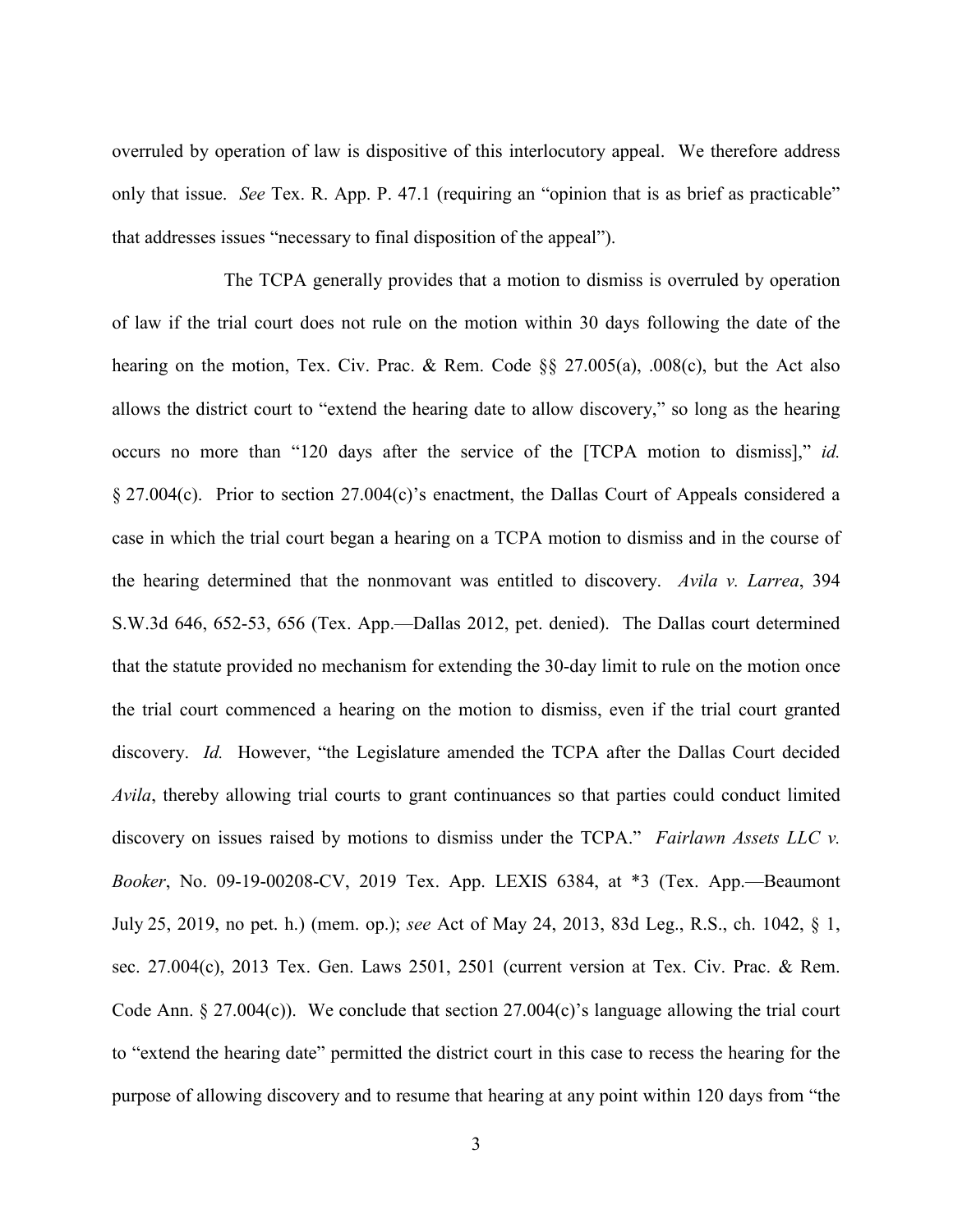overruled by operation of law is dispositive of this interlocutory appeal. We therefore address only that issue. *See* Tex. R. App. P. 47.1 (requiring an "opinion that is as brief as practicable" that addresses issues "necessary to final disposition of the appeal").

The TCPA generally provides that a motion to dismiss is overruled by operation of law if the trial court does not rule on the motion within 30 days following the date of the hearing on the motion, Tex. Civ. Prac. & Rem. Code §§ 27.005(a), .008(c), but the Act also allows the district court to "extend the hearing date to allow discovery," so long as the hearing occurs no more than "120 days after the service of the [TCPA motion to dismiss]," *id.* § 27.004(c). Prior to section 27.004(c)'s enactment, the Dallas Court of Appeals considered a case in which the trial court began a hearing on a TCPA motion to dismiss and in the course of the hearing determined that the nonmovant was entitled to discovery. *Avila v. Larrea*, 394 S.W.3d 646, 652-53, 656 (Tex. App.—Dallas 2012, pet. denied). The Dallas court determined that the statute provided no mechanism for extending the 30-day limit to rule on the motion once the trial court commenced a hearing on the motion to dismiss, even if the trial court granted discovery. *Id.* However, "the Legislature amended the TCPA after the Dallas Court decided *Avila*, thereby allowing trial courts to grant continuances so that parties could conduct limited discovery on issues raised by motions to dismiss under the TCPA." *Fairlawn Assets LLC v. Booker*, No. 09-19-00208-CV, 2019 Tex. App. LEXIS 6384, at \*3 (Tex. App.—Beaumont July 25, 2019, no pet. h.) (mem. op.); *see* Act of May 24, 2013, 83d Leg., R.S., ch. 1042, § 1, sec. 27.004(c), 2013 Tex. Gen. Laws 2501, 2501 (current version at Tex. Civ. Prac. & Rem. Code Ann.  $\S 27.004(c)$ . We conclude that section 27.004(c)'s language allowing the trial court to "extend the hearing date" permitted the district court in this case to recess the hearing for the purpose of allowing discovery and to resume that hearing at any point within 120 days from "the